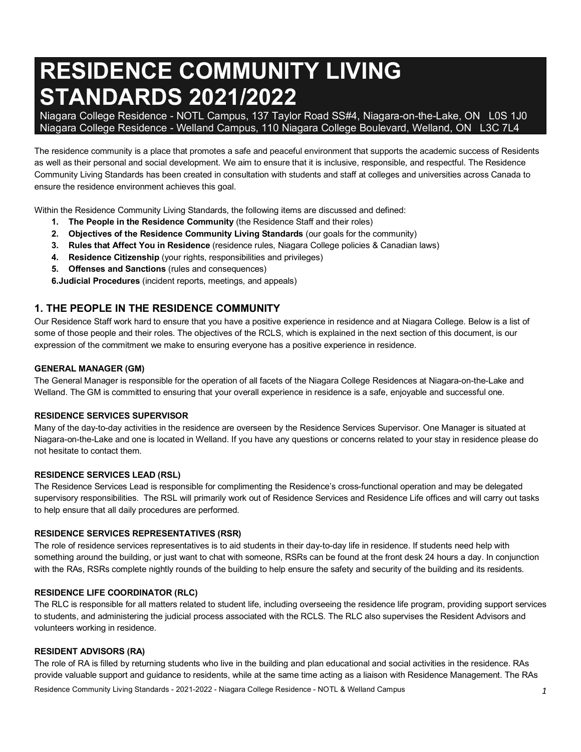# **RESIDENCE COMMUNITY LIVING STANDARDS 2021/2022**

 Niagara College Residence - NOTL Campus, 137 Taylor Road SS#4, Niagara-on-the-Lake, ON L0S 1J0 Niagara College Residence - Welland Campus, 110 Niagara College Boulevard, Welland, ON L3C 7L4

 The residence community is a place that promotes a safe and peaceful environment that supports the academic success of Residents as well as their personal and social development. We aim to ensure that it is inclusive, responsible, and respectful. The Residence Community Living Standards has been created in consultation with students and staff at colleges and universities across Canada to ensure the residence environment achieves this goal.

Within the Residence Community Living Standards, the following items are discussed and defined:

- **1. The People in the Residence Community** (the Residence Staff and their roles)
- **2. Objectives of the Residence Community Living Standards** (our goals for the community)
- **3. Rules that Affect You in Residence** (residence rules, Niagara College policies & Canadian laws)
- **4. Residence Citizenship** (your rights, responsibilities and privileges)
- **5. Offenses and Sanctions** (rules and consequences)

**6.Judicial Procedures** (incident reports, meetings, and appeals)

# **1. THE PEOPLE IN THE RESIDENCE COMMUNITY**

 Our Residence Staff work hard to ensure that you have a positive experience in residence and at Niagara College. Below is a list of some of those people and their roles. The objectives of the RCLS, which is explained in the next section of this document, is our expression of the commitment we make to ensuring everyone has a positive experience in residence.

## **GENERAL MANAGER (GM)**

 The General Manager is responsible for the operation of all facets of the Niagara College Residences at Niagara-on-the-Lake and Welland. The GM is committed to ensuring that your overall experience in residence is a safe, enjoyable and successful one.

#### **RESIDENCE SERVICES SUPERVISOR**

 Many of the day-to-day activities in the residence are overseen by the Residence Services Supervisor. One Manager is situated at Niagara-on-the-Lake and one is located in Welland. If you have any questions or concerns related to your stay in residence please do not hesitate to contact them.

#### **RESIDENCE SERVICES LEAD (RSL)**

 The Residence Services Lead is responsible for complimenting the Residence's cross-functional operation and may be delegated supervisory responsibilities. The RSL will primarily work out of Residence Services and Residence Life offices and will carry out tasks to help ensure that all daily procedures are performed.

#### **RESIDENCE SERVICES REPRESENTATIVES (RSR)**

 The role of residence services representatives is to aid students in their day-to-day life in residence. If students need help with something around the building, or just want to chat with someone, RSRs can be found at the front desk 24 hours a day. In conjunction with the RAs, RSRs complete nightly rounds of the building to help ensure the safety and security of the building and its residents.

#### **RESIDENCE LIFE COORDINATOR (RLC)**

 The RLC is responsible for all matters related to student life, including overseeing the residence life program, providing support services to students, and administering the judicial process associated with the RCLS. The RLC also supervises the Resident Advisors and volunteers working in residence.

#### **RESIDENT ADVISORS (RA)**

 The role of RA is filled by returning students who live in the building and plan educational and social activities in the residence. RAs provide valuable support and guidance to residents, while at the same time acting as a liaison with Residence Management. The RAs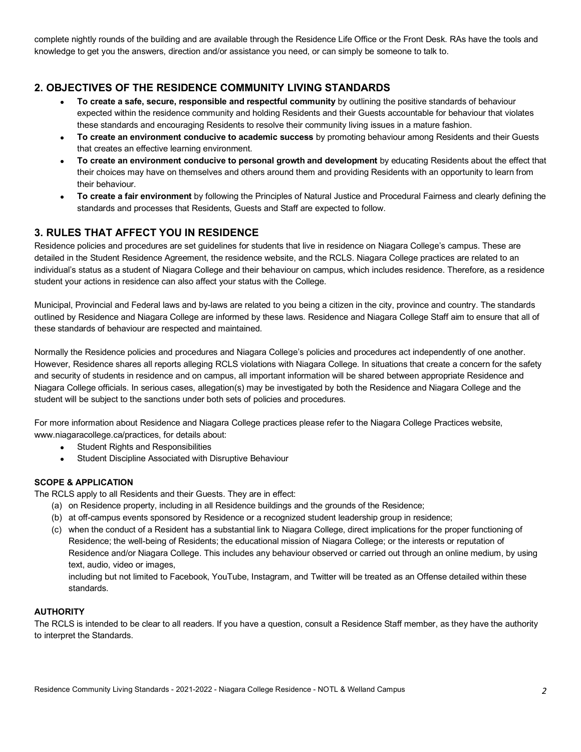complete nightly rounds of the building and are available through the Residence Life Office or the Front Desk. RAs have the tools and knowledge to get you the answers, direction and/or assistance you need, or can simply be someone to talk to.

# **2. OBJECTIVES OF THE RESIDENCE COMMUNITY LIVING STANDARDS**

- **To create a safe, secure, responsible and respectful community** by outlining the positive standards of behaviour expected within the residence community and holding Residents and their Guests accountable for behaviour that violates these standards and encouraging Residents to resolve their community living issues in a mature fashion.
- **To create an environment conducive to academic success** by promoting behaviour among Residents and their Guests that creates an effective learning environment.
- **To create an environment conducive to personal growth and development** by educating Residents about the effect that their choices may have on themselves and others around them and providing Residents with an opportunity to learn from their behaviour.
- **To create a fair environment** by following the Principles of Natural Justice and Procedural Fairness and clearly defining the standards and processes that Residents, Guests and Staff are expected to follow.

# **3. RULES THAT AFFECT YOU IN RESIDENCE**

 Residence policies and procedures are set guidelines for students that live in residence on Niagara College's campus. These are detailed in the Student Residence Agreement, the residence website, and the RCLS. Niagara College practices are related to an individual's status as a student of Niagara College and their behaviour on campus, which includes residence. Therefore, as a residence student your actions in residence can also affect your status with the College.

 Municipal, Provincial and Federal laws and by-laws are related to you being a citizen in the city, province and country. The standards outlined by Residence and Niagara College are informed by these laws. Residence and Niagara College Staff aim to ensure that all of these standards of behaviour are respected and maintained.

 Normally the Residence policies and procedures and Niagara College's policies and procedures act independently of one another. However, Residence shares all reports alleging RCLS violations with Niagara College. In situations that create a concern for the safety and security of students in residence and on campus, all important information will be shared between appropriate Residence and Niagara College officials. In serious cases, allegation(s) may be investigated by both the Residence and Niagara College and the student will be subject to the sanctions under both sets of policies and procedures.

 For more information about Residence and Niagara College practices please refer to the Niagara College Practices website, [www.niagaracollege.ca/practices,](www.niagaracollege.ca/practices) for details about:

- Student Rights and Responsibilities
- Student Discipline Associated with Disruptive Behaviour

## **SCOPE & APPLICATION**

The RCLS apply to all Residents and their Guests. They are in effect:

- (a) on Residence property, including in all Residence buildings and the grounds of the Residence;
- (b) at off-campus events sponsored by Residence or a recognized student leadership group in residence;
- (c) when the conduct of a Resident has a substantial link to Niagara College, direct implications for the proper functioning of Residence; the well-being of Residents; the educational mission of Niagara College; or the interests or reputation of Residence and/or Niagara College. This includes any behaviour observed or carried out through an online medium, by using text, audio, video or images,

 including but not limited to Facebook, YouTube, Instagram, and Twitter will be treated as an Offense detailed within these standards.

## **AUTHORITY**

 The RCLS is intended to be clear to all readers. If you have a question, consult a Residence Staff member, as they have the authority to interpret the Standards.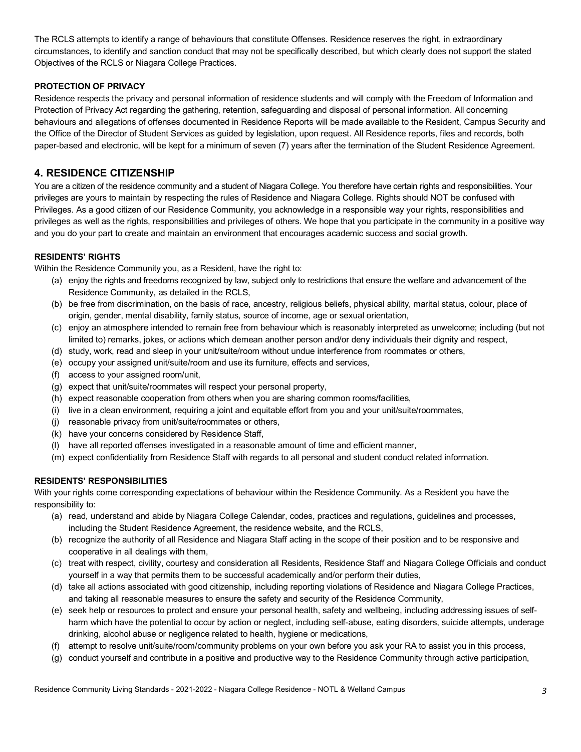The RCLS attempts to identify a range of behaviours that constitute Offenses. Residence reserves the right, in extraordinary circumstances, to identify and sanction conduct that may not be specifically described, but which clearly does not support the stated Objectives of the RCLS or Niagara College Practices.

## **PROTECTION OF PRIVACY**

 Residence respects the privacy and personal information of residence students and will comply with the Freedom of Information and Protection of Privacy Act regarding the gathering, retention, safeguarding and disposal of personal information. All concerning behaviours and allegations of offenses documented in Residence Reports will be made available to the Resident, Campus Security and the Office of the Director of Student Services as guided by legislation, upon request. All Residence reports, files and records, both paper-based and electronic, will be kept for a minimum of seven (7) years after the termination of the Student Residence Agreement.

# **4. RESIDENCE CITIZENSHIP**

 You are a citizen of the residence community and a student of Niagara College. You therefore have certain rights and responsibilities. Your privileges are yours to maintain by respecting the rules of Residence and Niagara College. Rights should NOT be confused with Privileges. As a good citizen of our Residence Community, you acknowledge in a responsible way your rights, responsibilities and privileges as well as the rights, responsibilities and privileges of others. We hope that you participate in the community in a positive way and you do your part to create and maintain an environment that encourages academic success and social growth.

## **RESIDENTS' RIGHTS**

Within the Residence Community you, as a Resident, have the right to:

- (a) enjoy the rights and freedoms recognized by law, subject only to restrictions that ensure the welfare and advancement of the Residence Community, as detailed in the RCLS,
- (b) be free from discrimination, on the basis of race, ancestry, religious beliefs, physical ability, marital status, colour, place of origin, gender, mental disability, family status, source of income, age or sexual orientation,
- (c) enjoy an atmosphere intended to remain free from behaviour which is reasonably interpreted as unwelcome; including (but not limited to) remarks, jokes, or actions which demean another person and/or deny individuals their dignity and respect,
- (d) study, work, read and sleep in your unit/suite/room without undue interference from roommates or others,
- (e) occupy your assigned unit/suite/room and use its furniture, effects and services,
- (f) access to your assigned room/unit,
- (g) expect that unit/suite/roommates will respect your personal property,
- (h) expect reasonable cooperation from others when you are sharing common rooms/facilities,
- (i) live in a clean environment, requiring a joint and equitable effort from you and your unit/suite/roommates,
- (j) reasonable privacy from unit/suite/roommates or others,
- (k) have your concerns considered by Residence Staff,
- (l) have all reported offenses investigated in a reasonable amount of time and efficient manner,
- (m) expect confidentiality from Residence Staff with regards to all personal and student conduct related information.

## **RESIDENTS' RESPONSIBILITIES**

 With your rights come corresponding expectations of behaviour within the Residence Community. As a Resident you have the responsibility to:

- (a) read, understand and abide by Niagara College Calendar, codes, practices and regulations, guidelines and processes, including the Student Residence Agreement, the residence website, and the RCLS,
- (b) recognize the authority of all Residence and Niagara Staff acting in the scope of their position and to be responsive and cooperative in all dealings with them,
- (c) treat with respect, civility, courtesy and consideration all Residents, Residence Staff and Niagara College Officials and conduct yourself in a way that permits them to be successful academically and/or perform their duties,
- (d) take all actions associated with good citizenship, including reporting violations of Residence and Niagara College Practices, and taking all reasonable measures to ensure the safety and security of the Residence Community,
- (e) seek help or resources to protect and ensure your personal health, safety and wellbeing, including addressing issues of self- harm which have the potential to occur by action or neglect, including self-abuse, eating disorders, suicide attempts, underage drinking, alcohol abuse or negligence related to health, hygiene or medications,
- (f) attempt to resolve unit/suite/room/community problems on your own before you ask your RA to assist you in this process,
- (g) conduct yourself and contribute in a positive and productive way to the Residence Community through active participation,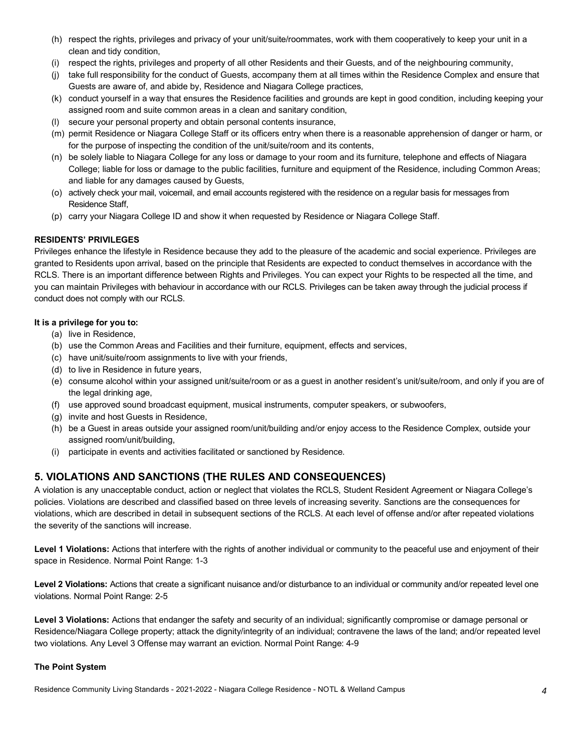- (h) respect the rights, privileges and privacy of your unit/suite/roommates, work with them cooperatively to keep your unit in a clean and tidy condition,
- (i) respect the rights, privileges and property of all other Residents and their Guests, and of the neighbouring community,
- (j) take full responsibility for the conduct of Guests, accompany them at all times within the Residence Complex and ensure that Guests are aware of, and abide by, Residence and Niagara College practices,
- (k) conduct yourself in a way that ensures the Residence facilities and grounds are kept in good condition, including keeping your assigned room and suite common areas in a clean and sanitary condition,
- (l) secure your personal property and obtain personal contents insurance,
- (m) permit Residence or Niagara College Staff or its officers entry when there is a reasonable apprehension of danger or harm, or for the purpose of inspecting the condition of the unit/suite/room and its contents,
- (n) be solely liable to Niagara College for any loss or damage to your room and its furniture, telephone and effects of Niagara College; liable for loss or damage to the public facilities, furniture and equipment of the Residence, including Common Areas; and liable for any damages caused by Guests,
- (o) actively check your mail, voicemail, and email accounts registered with the residence on a regular basis for messages from Residence Staff,
- (p) carry your Niagara College ID and show it when requested by Residence or Niagara College Staff.

## **RESIDENTS' PRIVILEGES**

 Privileges enhance the lifestyle in Residence because they add to the pleasure of the academic and social experience. Privileges are granted to Residents upon arrival, based on the principle that Residents are expected to conduct themselves in accordance with the RCLS. There is an important difference between Rights and Privileges. You can expect your Rights to be respected all the time, and you can maintain Privileges with behaviour in accordance with our RCLS. Privileges can be taken away through the judicial process if conduct does not comply with our RCLS.

## **It is a privilege for you to:**

- (a) live in Residence,
- (b) use the Common Areas and Facilities and their furniture, equipment, effects and services,
- (c) have unit/suite/room assignments to live with your friends,
- (d) to live in Residence in future years,
- (e) consume alcohol within your assigned unit/suite/room or as a guest in another resident's unit/suite/room, and only if you are of the legal drinking age,
- (f) use approved sound broadcast equipment, musical instruments, computer speakers, or subwoofers,
- (g) invite and host Guests in Residence,
- (h) be a Guest in areas outside your assigned room/unit/building and/or enjoy access to the Residence Complex, outside your assigned room/unit/building,
- (i) participate in events and activities facilitated or sanctioned by Residence.

# **5. VIOLATIONS AND SANCTIONS (THE RULES AND CONSEQUENCES)**

 A violation is any unacceptable conduct, action or neglect that violates the RCLS, Student Resident Agreement or Niagara College's policies. Violations are described and classified based on three levels of increasing severity. Sanctions are the consequences for violations, which are described in detail in subsequent sections of the RCLS. At each level of offense and/or after repeated violations the severity of the sanctions will increase.

Level 1 Violations: Actions that interfere with the rights of another individual or community to the peaceful use and enjoyment of their space in Residence. Normal Point Range: 1-3

Level 2 Violations: Actions that create a significant nuisance and/or disturbance to an individual or community and/or repeated level one violations. Normal Point Range: 2-5

Level 3 Violations: Actions that endanger the safety and security of an individual; significantly compromise or damage personal or Residence/Niagara College property; attack the dignity/integrity of an individual; contravene the laws of the land; and/or repeated level two violations. Any Level 3 Offense may warrant an eviction. Normal Point Range: 4-9

## **The Point System**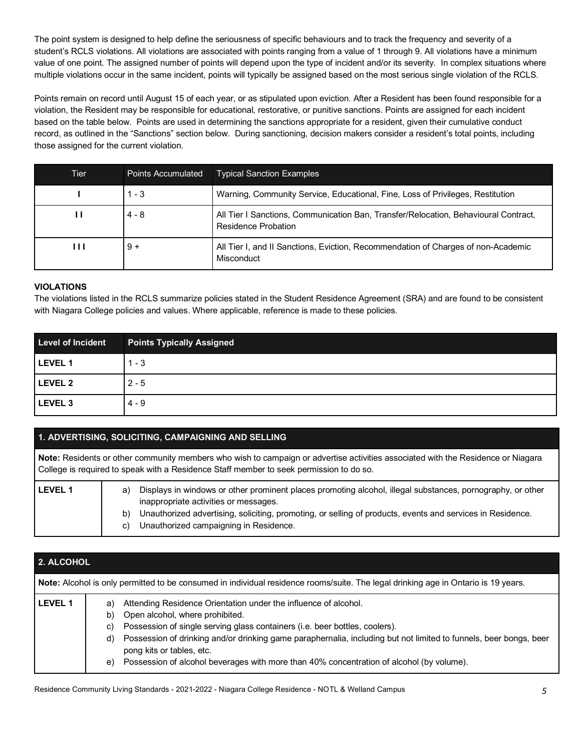The point system is designed to help define the seriousness of specific behaviours and to track the frequency and severity of a student's RCLS violations. All violations are associated with points ranging from a value of 1 through 9. All violations have a minimum value of one point. The assigned number of points will depend upon the type of incident and/or its severity. In complex situations where multiple violations occur in the same incident, points will typically be assigned based on the most serious single violation of the RCLS.

 Points remain on record until August 15 of each year, or as stipulated upon eviction. After a Resident has been found responsible for a violation, the Resident may be responsible for educational, restorative, or punitive sanctions. Points are assigned for each incident based on the table below. Points are used in determining the sanctions appropriate for a resident, given their cumulative conduct record, as outlined in the "Sanctions" section below. During sanctioning, decision makers consider a resident's total points, including those assigned for the current violation.

| Tier | <b>Points Accumulated</b> | <b>Typical Sanction Examples</b>                                                                           |
|------|---------------------------|------------------------------------------------------------------------------------------------------------|
|      | $1 - 3$                   | Warning, Community Service, Educational, Fine, Loss of Privileges, Restitution                             |
| п    | $4 - 8$                   | All Tier I Sanctions, Communication Ban, Transfer/Relocation, Behavioural Contract,<br>Residence Probation |
| Ш    | $9 +$                     | All Tier I, and II Sanctions, Eviction, Recommendation of Charges of non-Academic<br>Misconduct            |

## **VIOLATIONS**

 The violations listed in the RCLS summarize policies stated in the Student Residence Agreement (SRA) and are found to be consistent with Niagara College policies and values. Where applicable, reference is made to these policies.

| <b>Level of Incident</b> | <b>Points Typically Assigned</b> |
|--------------------------|----------------------------------|
| LEVEL 1                  | $1 - 3$                          |
| LEVEL 2                  | $2 - 5$                          |
| LEVEL <sub>3</sub>       | $4 - 9$                          |

## **1. ADVERTISING, SOLICITING, CAMPAIGNING AND SELLING**

 **Note:** Residents or other community members who wish to campaign or advertise activities associated with the Residence or Niagara College is required to speak with a Residence Staff member to seek permission to do so. **LEVEL 1** a) Displays in windows or other prominent places promoting alcohol, illegal substances, pornography, or other inappropriate activities or messages. b) Unauthorized advertising, soliciting, promoting, or selling of products, events and services in Residence.

c) Unauthorized campaigning in Residence.

| <b>2. ALCOHOL</b><br><b>Note:</b> Alcohol is only permitted to be consumed in individual residence rooms/suite. The legal drinking age in Ontario is 19 years. |  |  |  |
|----------------------------------------------------------------------------------------------------------------------------------------------------------------|--|--|--|
|                                                                                                                                                                |  |  |  |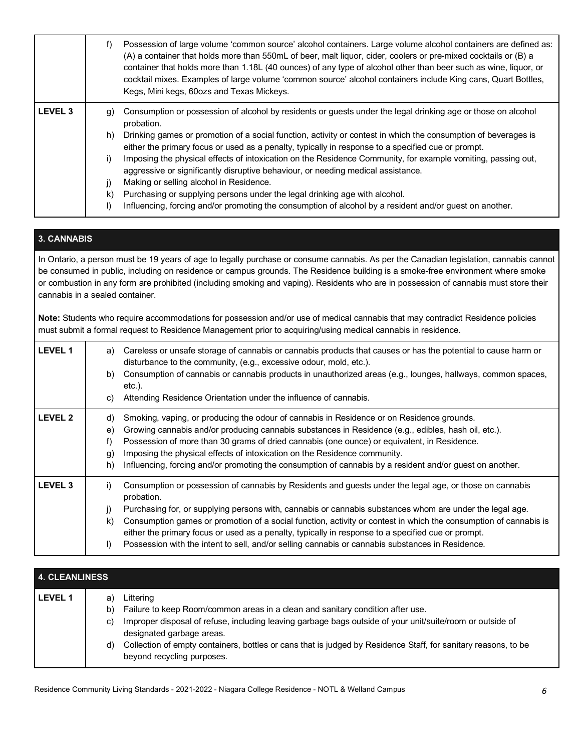|                | f) | Possession of large volume 'common source' alcohol containers. Large volume alcohol containers are defined as:<br>(A) a container that holds more than 550mL of beer, malt liquor, cider, coolers or pre-mixed cocktails or (B) a<br>container that holds more than 1.18L (40 ounces) of any type of alcohol other than beer such as wine, liquor, or<br>cocktail mixes. Examples of large volume 'common source' alcohol containers include King cans, Quart Bottles,<br>Kegs, Mini kegs, 60ozs and Texas Mickeys. |
|----------------|----|---------------------------------------------------------------------------------------------------------------------------------------------------------------------------------------------------------------------------------------------------------------------------------------------------------------------------------------------------------------------------------------------------------------------------------------------------------------------------------------------------------------------|
| <b>LEVEL 3</b> | q) | Consumption or possession of alcohol by residents or guests under the legal drinking age or those on alcohol<br>probation.                                                                                                                                                                                                                                                                                                                                                                                          |
|                | h) | Drinking games or promotion of a social function, activity or contest in which the consumption of beverages is<br>either the primary focus or used as a penalty, typically in response to a specified cue or prompt.                                                                                                                                                                                                                                                                                                |
|                | i) | Imposing the physical effects of intoxication on the Residence Community, for example vomiting, passing out,<br>aggressive or significantly disruptive behaviour, or needing medical assistance.                                                                                                                                                                                                                                                                                                                    |
|                | j) | Making or selling alcohol in Residence.                                                                                                                                                                                                                                                                                                                                                                                                                                                                             |
|                | k) | Purchasing or supplying persons under the legal drinking age with alcohol.                                                                                                                                                                                                                                                                                                                                                                                                                                          |
|                | I) | Influencing, forcing and/or promoting the consumption of alcohol by a resident and/or guest on another.                                                                                                                                                                                                                                                                                                                                                                                                             |

## **3. CANNABIS**

 In Ontario, a person must be 19 years of age to legally purchase or consume cannabis. As per the Canadian legislation, cannabis cannot be consumed in public, including on residence or campus grounds. The Residence building is a smoke-free environment where smoke or combustion in any form are prohibited (including smoking and vaping). Residents who are in possession of cannabis must store their cannabis in a sealed container.

 **Note:** Students who require accommodations for possession and/or use of medical cannabis that may contradict Residence policies must submit a formal request to Residence Management prior to acquiring/using medical cannabis in residence.

| <b>LEVEL 1</b> | Careless or unsafe storage of cannabis or cannabis products that causes or has the potential to cause harm or<br>a)<br>disturbance to the community, (e.g., excessive odour, mold, etc.).<br>Consumption of cannabis or cannabis products in unauthorized areas (e.g., lounges, hallways, common spaces,<br>b)<br>$etc.$ ).<br>Attending Residence Orientation under the influence of cannabis.<br>C)                                                                                                                                                                                        |
|----------------|----------------------------------------------------------------------------------------------------------------------------------------------------------------------------------------------------------------------------------------------------------------------------------------------------------------------------------------------------------------------------------------------------------------------------------------------------------------------------------------------------------------------------------------------------------------------------------------------|
| <b>LEVEL 2</b> | Smoking, vaping, or producing the odour of cannabis in Residence or on Residence grounds.<br>d)<br>Growing cannabis and/or producing cannabis substances in Residence (e.g., edibles, hash oil, etc.).<br>e)<br>Possession of more than 30 grams of dried cannabis (one ounce) or equivalent, in Residence.<br>f)<br>Imposing the physical effects of intoxication on the Residence community.<br>g)<br>Influencing, forcing and/or promoting the consumption of cannabis by a resident and/or guest on another.<br>h)                                                                       |
| <b>LEVEL 3</b> | i)<br>Consumption or possession of cannabis by Residents and guests under the legal age, or those on cannabis<br>probation.<br>Purchasing for, or supplying persons with, cannabis or cannabis substances whom are under the legal age.<br>j)<br>Consumption games or promotion of a social function, activity or contest in which the consumption of cannabis is<br>k)<br>either the primary focus or used as a penalty, typically in response to a specified cue or prompt.<br>Possession with the intent to sell, and/or selling cannabis or cannabis substances in Residence.<br>$\vert$ |

| 4. CLEANLINESS |                      |                                                                                                                                                                                                                                                                                                                                                                                       |  |
|----------------|----------------------|---------------------------------------------------------------------------------------------------------------------------------------------------------------------------------------------------------------------------------------------------------------------------------------------------------------------------------------------------------------------------------------|--|
| <b>LEVEL 1</b> | a)<br>b)<br>C)<br>d) | Littering<br>Failure to keep Room/common areas in a clean and sanitary condition after use.<br>Improper disposal of refuse, including leaving garbage bags outside of your unit/suite/room or outside of<br>designated garbage areas.<br>Collection of empty containers, bottles or cans that is judged by Residence Staff, for sanitary reasons, to be<br>beyond recycling purposes. |  |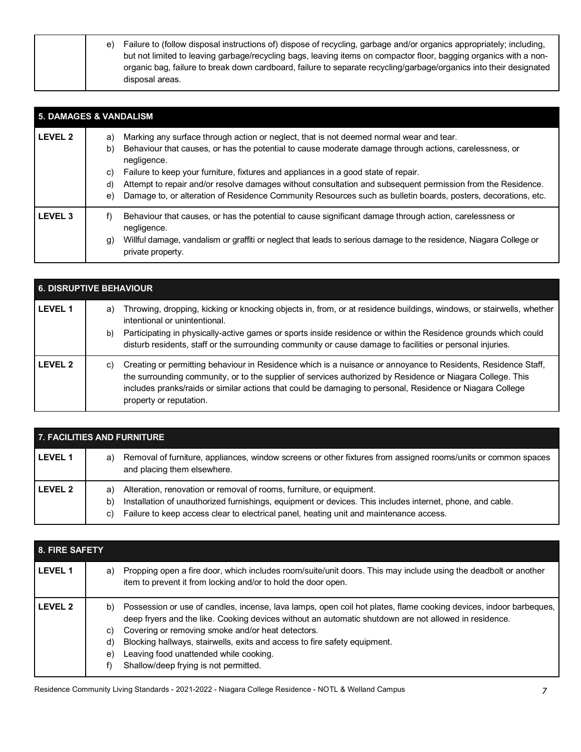| Failure to (follow disposal instructions of) dispose of recycling, garbage and/or organics appropriately; including,<br>e) |
|----------------------------------------------------------------------------------------------------------------------------|
| but not limited to leaving garbage/recycling bags, leaving items on compactor floor, bagging organics with a non-          |
| organic bag, failure to break down cardboard, failure to separate recycling/garbage/organics into their designated         |
| disposal areas.                                                                                                            |

| <b>5. DAMAGES &amp; VANDALISM</b> |                                                                                                                                                                                                                                                                                                                                                                                                                                                                                                                                                                      |  |  |
|-----------------------------------|----------------------------------------------------------------------------------------------------------------------------------------------------------------------------------------------------------------------------------------------------------------------------------------------------------------------------------------------------------------------------------------------------------------------------------------------------------------------------------------------------------------------------------------------------------------------|--|--|
| LEVEL 2                           | Marking any surface through action or neglect, that is not deemed normal wear and tear.<br>a)<br>Behaviour that causes, or has the potential to cause moderate damage through actions, carelessness, or<br>b)<br>negligence.<br>Failure to keep your furniture, fixtures and appliances in a good state of repair.<br>C)<br>Attempt to repair and/or resolve damages without consultation and subsequent permission from the Residence.<br>d)<br>Damage to, or alteration of Residence Community Resources such as bulletin boards, posters, decorations, etc.<br>e) |  |  |
| <b>LEVEL 3</b>                    | Behaviour that causes, or has the potential to cause significant damage through action, carelessness or<br>f)<br>negligence.<br>Willful damage, vandalism or graffiti or neglect that leads to serious damage to the residence, Niagara College or<br>g)<br>private property.                                                                                                                                                                                                                                                                                        |  |  |

| <b>6. DISRUPTIVE BEHAVIOUR</b> |                                                                                                                                                                                                                                                                                                                                                                                                   |  |  |
|--------------------------------|---------------------------------------------------------------------------------------------------------------------------------------------------------------------------------------------------------------------------------------------------------------------------------------------------------------------------------------------------------------------------------------------------|--|--|
| <b>LEVEL 1</b>                 | Throwing, dropping, kicking or knocking objects in, from, or at residence buildings, windows, or stairwells, whether<br>a)<br>intentional or unintentional.<br>Participating in physically-active games or sports inside residence or within the Residence grounds which could<br>b)<br>disturb residents, staff or the surrounding community or cause damage to facilities or personal injuries. |  |  |
| LEVEL 2                        | Creating or permitting behaviour in Residence which is a nuisance or annoyance to Residents, Residence Staff,<br>C)<br>the surrounding community, or to the supplier of services authorized by Residence or Niagara College. This<br>includes pranks/raids or similar actions that could be damaging to personal, Residence or Niagara College<br>property or reputation.                         |  |  |

| <b>7. FACILITIES AND FURNITURE</b> |                                                                                                                                                                                                                                                                                               |  |
|------------------------------------|-----------------------------------------------------------------------------------------------------------------------------------------------------------------------------------------------------------------------------------------------------------------------------------------------|--|
| LEVEL <sub>1</sub>                 | Removal of furniture, appliances, window screens or other fixtures from assigned rooms/units or common spaces<br>a)<br>and placing them elsewhere.                                                                                                                                            |  |
| LEVEL 2                            | Alteration, renovation or removal of rooms, furniture, or equipment.<br>a)<br>Installation of unauthorized furnishings, equipment or devices. This includes internet, phone, and cable.<br>b)<br>Failure to keep access clear to electrical panel, heating unit and maintenance access.<br>C) |  |

| <b>8. FIRE SAFETY</b> |                |                                                                                                                                                                                                                                                                                                                                                                                                                                                    |
|-----------------------|----------------|----------------------------------------------------------------------------------------------------------------------------------------------------------------------------------------------------------------------------------------------------------------------------------------------------------------------------------------------------------------------------------------------------------------------------------------------------|
| <b>LEVEL 1</b>        | a)             | Propping open a fire door, which includes room/suite/unit doors. This may include using the deadbolt or another<br>item to prevent it from locking and/or to hold the door open.                                                                                                                                                                                                                                                                   |
| I FVFI <sub>2</sub>   | C)<br>d)<br>e) | b) Possession or use of candles, incense, lava lamps, open coil hot plates, flame cooking devices, indoor barbeques,<br>deep fryers and the like. Cooking devices without an automatic shutdown are not allowed in residence.<br>Covering or removing smoke and/or heat detectors.<br>Blocking hallways, stairwells, exits and access to fire safety equipment.<br>Leaving food unattended while cooking.<br>Shallow/deep frying is not permitted. |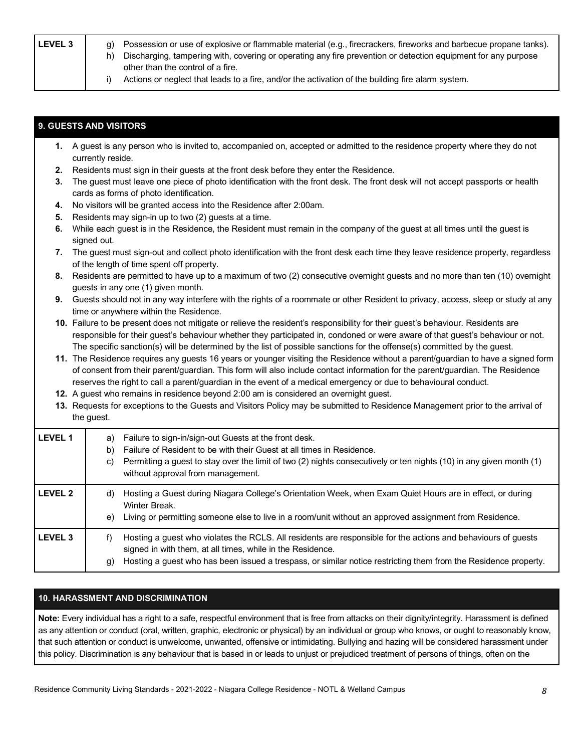| (n | Possession or use of explosive or flammable material (e.g., firecrackers, fireworks and barbecue propane tanks). |
|----|------------------------------------------------------------------------------------------------------------------|
| h) | Discharging, tampering with, covering or operating any fire prevention or detection equipment for any purpose    |
|    | other than the control of a fire.                                                                                |
|    | Actions or neglect that leads to a fire, and/or the activation of the building fire alarm system.                |
|    |                                                                                                                  |

# **9. GUESTS AND VISITORS**

| 1. A guest is any person who is invited to, accompanied on, accepted or admitted to the residence property where they do not |
|------------------------------------------------------------------------------------------------------------------------------|
| currently reside.                                                                                                            |
| Residents must sign in their quests at the front desk before they enter the Residence.                                       |
|                                                                                                                              |

- **3.** The guest must leave one piece of photo identification with the front desk. The front desk will not accept passports or health cards as forms of photo identification.
- **4.** No visitors will be granted access into the Residence after 2:00am.
- **5.** Residents may sign-in up to two (2) guests at a time.
- **6.** While each guest is in the Residence, the Resident must remain in the company of the guest at all times until the guest is signed out.
- **7.** The guest must sign-out and collect photo identification with the front desk each time they leave residence property, regardless of the length of time spent off property.
- **8.** Residents are permitted to have up to a maximum of two (2) consecutive overnight guests and no more than ten (10) overnight guests in any one (1) given month.
- **9.** Guests should not in any way interfere with the rights of a roommate or other Resident to privacy, access, sleep or study at any time or anywhere within the Residence.
- **10.** Failure to be present does not mitigate or relieve the resident's responsibility for their guest's behaviour. Residents are responsible for their guest's behaviour whether they participated in, condoned or were aware of that guest's behaviour or not. The specific sanction(s) will be determined by the list of possible sanctions for the offense(s) committed by the guest.
- **11.** The Residence requires any guests 16 years or younger visiting the Residence without a parent/guardian to have a signed form of consent from their parent/guardian. This form will also include contact information for the parent/guardian. The Residence reserves the right to call a parent/guardian in the event of a medical emergency or due to behavioural conduct.
- **12.** A guest who remains in residence beyond 2:00 am is considered an overnight guest.
- **13.** Requests for exceptions to the Guests and Visitors Policy may be submitted to Residence Management prior to the arrival of the guest.

| LEVEL 1            | Failure to sign-in/sign-out Guests at the front desk.<br>a)<br>Failure of Resident to be with their Guest at all times in Residence.<br>b)<br>Permitting a guest to stay over the limit of two (2) nights consecutively or ten nights (10) in any given month (1)<br>C)<br>without approval from management. |
|--------------------|--------------------------------------------------------------------------------------------------------------------------------------------------------------------------------------------------------------------------------------------------------------------------------------------------------------|
| LEVEL 2            | Hosting a Guest during Niagara College's Orientation Week, when Exam Quiet Hours are in effect, or during<br>d)<br>Winter Break.<br>Living or permitting someone else to live in a room/unit without an approved assignment from Residence.<br>e)                                                            |
| LEVEL <sub>3</sub> | Hosting a guest who violates the RCLS. All residents are responsible for the actions and behaviours of guests<br>f)<br>signed in with them, at all times, while in the Residence.<br>Hosting a guest who has been issued a trespass, or similar notice restricting them from the Residence property.<br>g)   |

## **10. HARASSMENT AND DISCRIMINATION**

 **Note:** Every individual has a right to a safe, respectful environment that is free from attacks on their dignity/integrity. Harassment is defined as any attention or conduct (oral, written, graphic, electronic or physical) by an individual or group who knows, or ought to reasonably know, that such attention or conduct is unwelcome, unwanted, offensive or intimidating. Bullying and hazing will be considered harassment under this policy. Discrimination is any behaviour that is based in or leads to unjust or prejudiced treatment of persons of things, often on the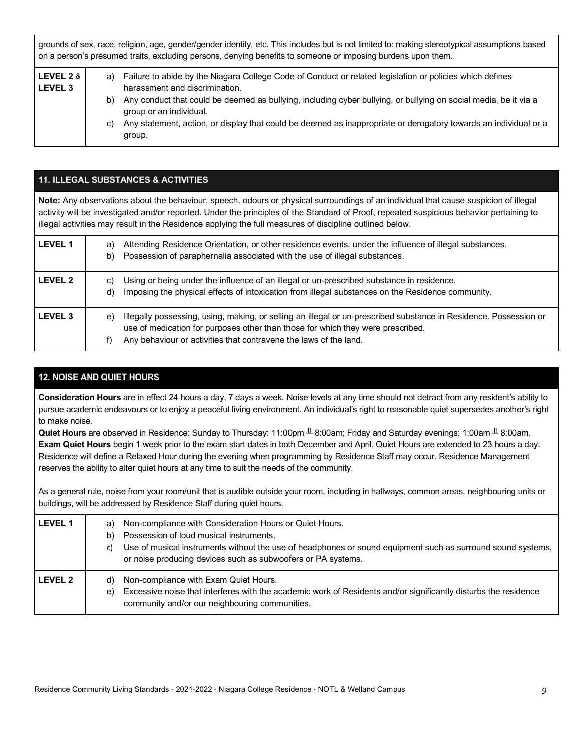| grounds of sex, race, religion, age, gender/gender identity, etc. This includes but is not limited to: making stereotypical assumptions based<br>on a person's presumed traits, excluding persons, denying benefits to someone or imposing burdens upon them. |                |                                                                                                                                                                                                                                                                                                                                                                                                                         |
|---------------------------------------------------------------------------------------------------------------------------------------------------------------------------------------------------------------------------------------------------------------|----------------|-------------------------------------------------------------------------------------------------------------------------------------------------------------------------------------------------------------------------------------------------------------------------------------------------------------------------------------------------------------------------------------------------------------------------|
| LEVEL 2 &<br>LEVEL <sub>3</sub>                                                                                                                                                                                                                               | a)<br>b)<br>C) | Failure to abide by the Niagara College Code of Conduct or related legislation or policies which defines<br>harassment and discrimination.<br>Any conduct that could be deemed as bullying, including cyber bullying, or bullying on social media, be it via a<br>group or an individual.<br>Any statement, action, or display that could be deemed as inappropriate or derogatory towards an individual or a<br>group. |

## **11. ILLEGAL SUBSTANCES & ACTIVITIES**

 **Note:** Any observations about the behaviour, speech, odours or physical surroundings of an individual that cause suspicion of illegal activity will be investigated and/or reported. Under the principles of the Standard of Proof, repeated suspicious behavior pertaining to illegal activities may result in the Residence applying the full measures of discipline outlined below.

| <b>LEVEL 1</b> | Attending Residence Orientation, or other residence events, under the influence of illegal substances.<br>a)<br>Possession of paraphernalia associated with the use of illegal substances.<br>b)                                                                                      |
|----------------|---------------------------------------------------------------------------------------------------------------------------------------------------------------------------------------------------------------------------------------------------------------------------------------|
| <b>LEVEL 2</b> | Using or being under the influence of an illegal or un-prescribed substance in residence.<br>C)<br>Imposing the physical effects of intoxication from illegal substances on the Residence community.<br>d)                                                                            |
| <b>LEVEL 3</b> | Illegally possessing, using, making, or selling an illegal or un-prescribed substance in Residence. Possession or<br>e)<br>use of medication for purposes other than those for which they were prescribed.<br>Any behaviour or activities that contravene the laws of the land.<br>f) |

# **12. NOISE AND QUIET HOURS**

 **Consideration Hours** are in effect 24 hours a day, 7 days a week. Noise levels at any time should not detract from any resident's ability to pursue academic endeavours or to enjoy a peaceful living environment. An individual's right to reasonable quiet supersedes another's right to make noise.

 **Quiet Hours** are observed in Residence: Sunday to Thursday: 11:00pm ╨ 8:00am; Friday and Saturday evenings: 1:00am ╨ 8:00am.  **Exam Quiet Hours** begin 1 week prior to the exam start dates in both December and April. Quiet Hours are extended to 23 hours a day. Residence will define a Relaxed Hour during the evening when programming by Residence Staff may occur. Residence Management reserves the ability to alter quiet hours at any time to suit the needs of the community.

 As a general rule, noise from your room/unit that is audible outside your room, including in hallways, common areas, neighbouring units or buildings, will be addressed by Residence Staff during quiet hours.

| l LEVEL 1 | Non-compliance with Consideration Hours or Quiet Hours.<br>a)<br>Possession of loud musical instruments.<br>b)<br>Use of musical instruments without the use of headphones or sound equipment such as surround sound systems,<br>C)<br>or noise producing devices such as subwoofers or PA systems. |
|-----------|-----------------------------------------------------------------------------------------------------------------------------------------------------------------------------------------------------------------------------------------------------------------------------------------------------|
| l LEVEL 2 | Non-compliance with Exam Quiet Hours.<br>d)<br>Excessive noise that interferes with the academic work of Residents and/or significantly disturbs the residence<br>e)<br>community and/or our neighbouring communities.                                                                              |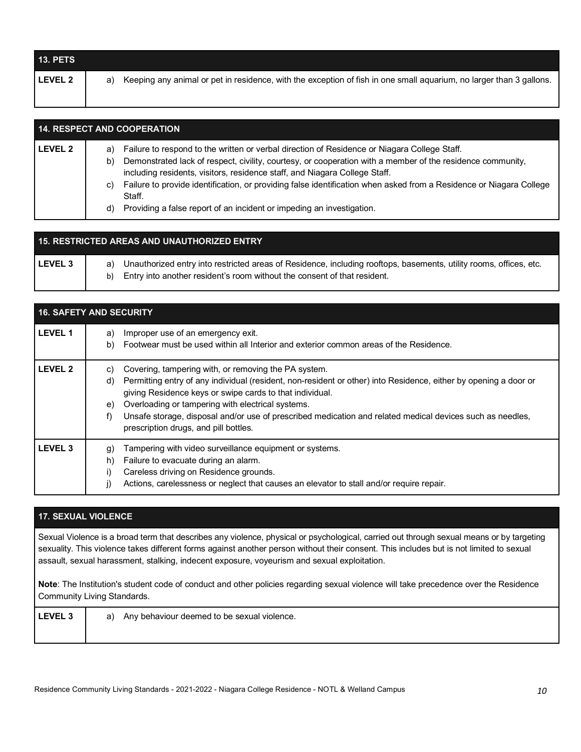| <b>LEVEL 2</b><br>Keeping any animal or pet in residence, with the exception of fish in one small aquarium, no larger than 3 gallons.<br>a) | <b>13. PETS</b> |  |
|---------------------------------------------------------------------------------------------------------------------------------------------|-----------------|--|
|                                                                                                                                             |                 |  |

| <b>14. RESPECT AND COOPERATION</b> |                                                                                                                                                                                                |  |  |
|------------------------------------|------------------------------------------------------------------------------------------------------------------------------------------------------------------------------------------------|--|--|
| LEVEL 2                            | Failure to respond to the written or verbal direction of Residence or Niagara College Staff.<br>a)                                                                                             |  |  |
|                                    | Demonstrated lack of respect, civility, courtesy, or cooperation with a member of the residence community,<br>b)<br>including residents, visitors, residence staff, and Niagara College Staff. |  |  |
|                                    | Failure to provide identification, or providing false identification when asked from a Residence or Niagara College<br>C)<br>Staff.                                                            |  |  |
|                                    | Providing a false report of an incident or impeding an investigation.<br>d)                                                                                                                    |  |  |

| 15. RESTRICTED AREAS AND UNAUTHORIZED ENTRY |                                                                                                                                                                                                         |  |  |
|---------------------------------------------|---------------------------------------------------------------------------------------------------------------------------------------------------------------------------------------------------------|--|--|
| l LEVEL 3                                   | Unauthorized entry into restricted areas of Residence, including rooftops, basements, utility rooms, offices, etc.<br>a)<br>b) Entry into another resident's room without the consent of that resident. |  |  |

| <b>16. SAFETY AND SECURITY</b> |                                                                                                                                                                                                                                                                                                                                                                                                                                                                         |  |
|--------------------------------|-------------------------------------------------------------------------------------------------------------------------------------------------------------------------------------------------------------------------------------------------------------------------------------------------------------------------------------------------------------------------------------------------------------------------------------------------------------------------|--|
| <b>LEVEL 1</b>                 | Improper use of an emergency exit.<br>a)<br>Footwear must be used within all Interior and exterior common areas of the Residence.<br>b)                                                                                                                                                                                                                                                                                                                                 |  |
| <b>LEVEL 2</b>                 | Covering, tampering with, or removing the PA system.<br>C)<br>Permitting entry of any individual (resident, non-resident or other) into Residence, either by opening a door or<br>d)<br>giving Residence keys or swipe cards to that individual.<br>Overloading or tampering with electrical systems.<br>e)<br>Unsafe storage, disposal and/or use of prescribed medication and related medical devices such as needles,<br>f)<br>prescription drugs, and pill bottles. |  |
| <b>LEVEL 3</b>                 | Tampering with video surveillance equipment or systems.<br>g)<br>Failure to evacuate during an alarm.<br>h)<br>Careless driving on Residence grounds.<br>i)<br>Actions, carelessness or neglect that causes an elevator to stall and/or require repair.<br>j)                                                                                                                                                                                                           |  |

# **17. SEXUAL VIOLENCE**

 Sexual Violence is a broad term that describes any violence, physical or psychological, carried out through sexual means or by targeting sexuality. This violence takes different forms against another person without their consent. This includes but is not limited to sexual assault, sexual harassment, stalking, indecent exposure, voyeurism and sexual exploitation.

 **Note**: The Institution's student code of conduct and other policies regarding sexual violence will take precedence over the Residence Community Living Standards.

| <b>LEVEL 3</b> | Any behaviour deemed to be sexual violence.<br>a) |  |
|----------------|---------------------------------------------------|--|
|                |                                                   |  |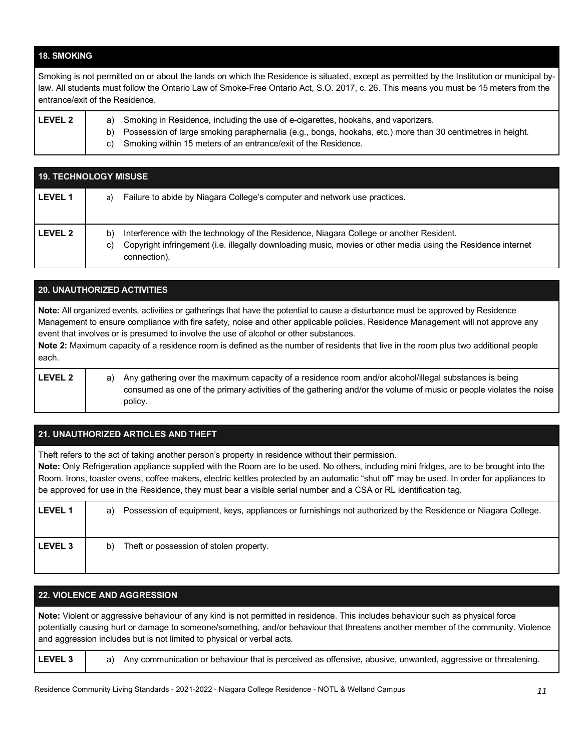## **18. SMOKING**

 Smoking is not permitted on or about the lands on which the Residence is situated, except as permitted by the Institution or municipal by- law. All students must follow the Ontario Law of Smoke-Free Ontario Act, S.O. 2017, c. 26. This means you must be 15 meters from the entrance/exit of the Residence.

| <b>LEVEL 2</b> | a) Smoking in Residence, including the use of e-cigarettes, hookahs, and vaporizers.                          |
|----------------|---------------------------------------------------------------------------------------------------------------|
|                | b) Possession of large smoking paraphernalia (e.g., bongs, hookahs, etc.) more than 30 centimetres in height. |
|                | c) Smoking within 15 meters of an entrance/exit of the Residence.                                             |
|                |                                                                                                               |

| <b>19. TECHNOLOGY MISUSE</b> |                                                                                                                                                                                                                                     |  |
|------------------------------|-------------------------------------------------------------------------------------------------------------------------------------------------------------------------------------------------------------------------------------|--|
| <b>LEVEL 1</b>               | Failure to abide by Niagara College's computer and network use practices.<br>a)                                                                                                                                                     |  |
| LEVEL 2                      | Interference with the technology of the Residence, Niagara College or another Resident.<br>b)<br>Copyright infringement (i.e. illegally downloading music, movies or other media using the Residence internet<br>C)<br>connection). |  |

# **Note:** All organized events, activities or gatherings that have the potential to cause a disturbance must be approved by Residence Management to ensure compliance with fire safety, noise and other applicable policies. Residence Management will not approve any event that involves or is presumed to involve the use of alcohol or other substances. **Note 2:** Maximum capacity of a residence room is defined as the number of residents that live in the room plus two additional people **LEVEL 2** a) Any gathering over the maximum capacity of a residence room and/or alcohol/illegal substances is being consumed as one of the primary activities of the gathering and/or the volume of music or people violates the noise policy. **20. UNAUTHORIZED ACTIVITIES**  each.

| 21. UNAUTHORIZED ARTICLES AND THEFT                                                                                                                                                                                                                                                                                                                                                                                                                                                                           |                                                                                                                    |  |  |  |  |
|---------------------------------------------------------------------------------------------------------------------------------------------------------------------------------------------------------------------------------------------------------------------------------------------------------------------------------------------------------------------------------------------------------------------------------------------------------------------------------------------------------------|--------------------------------------------------------------------------------------------------------------------|--|--|--|--|
| Theft refers to the act of taking another person's property in residence without their permission.<br>Note: Only Refrigeration appliance supplied with the Room are to be used. No others, including mini fridges, are to be brought into the<br>Room. Irons, toaster ovens, coffee makers, electric kettles protected by an automatic "shut off" may be used. In order for appliances to<br>be approved for use in the Residence, they must bear a visible serial number and a CSA or RL identification tag. |                                                                                                                    |  |  |  |  |
| <b>LEVEL 1</b>                                                                                                                                                                                                                                                                                                                                                                                                                                                                                                | Possession of equipment, keys, appliances or furnishings not authorized by the Residence or Niagara College.<br>a) |  |  |  |  |
| <b>LEVEL 3</b>                                                                                                                                                                                                                                                                                                                                                                                                                                                                                                | Theft or possession of stolen property.<br>b)                                                                      |  |  |  |  |

## **22. VIOLENCE AND AGGRESSION**

 **Note:** Violent or aggressive behaviour of any kind is not permitted in residence. This includes behaviour such as physical force potentially causing hurt or damage to someone/something, and/or behaviour that threatens another member of the community. Violence and aggression includes but is not limited to physical or verbal acts.

LEVEL 3 **a**) Any communication or behaviour that is perceived as offensive, abusive, unwanted, aggressive or threatening.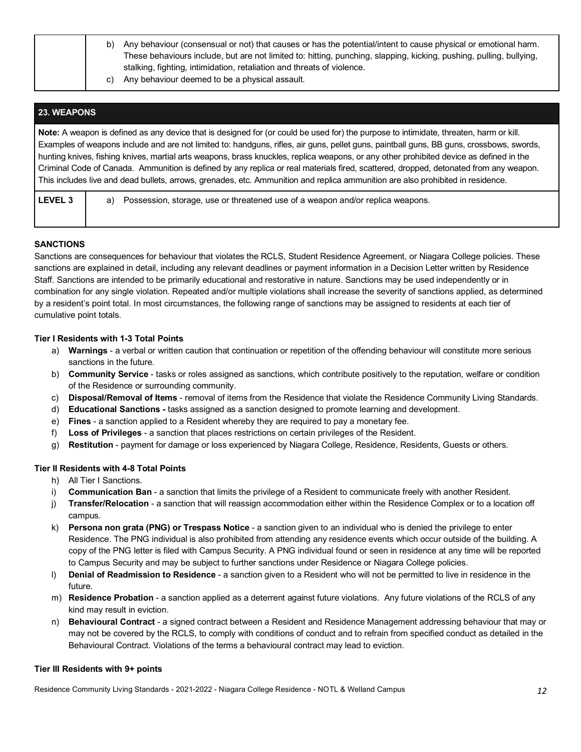|  | b) | Any behaviour (consensual or not) that causes or has the potential/intent to cause physical or emotional harm.<br>These behaviours include, but are not limited to: hitting, punching, slapping, kicking, pushing, pulling, bullying,<br>stalking, fighting, intimidation, retaliation and threats of violence. |
|--|----|-----------------------------------------------------------------------------------------------------------------------------------------------------------------------------------------------------------------------------------------------------------------------------------------------------------------|
|  | C) | Any behaviour deemed to be a physical assault.                                                                                                                                                                                                                                                                  |

# **23. WEAPONS**

 **Note:** A weapon is defined as any device that is designed for (or could be used for) the purpose to intimidate, threaten, harm or kill. Examples of weapons include and are not limited to: handguns, rifles, air guns, pellet guns, paintball guns, BB guns, crossbows, swords, hunting knives, fishing knives, martial arts weapons, brass knuckles, replica weapons, or any other prohibited device as defined in the Criminal Code of Canada. Ammunition is defined by any replica or real materials fired, scattered, dropped, detonated from any weapon. This includes live and dead bullets, arrows, grenades, etc. Ammunition and replica ammunition are also prohibited in residence.

LEVEL 3 **a** essession, storage, use or threatened use of a weapon and/or replica weapons.

## **SANCTIONS**

 Sanctions are consequences for behaviour that violates the RCLS, Student Residence Agreement, or Niagara College policies. These sanctions are explained in detail, including any relevant deadlines or payment information in a Decision Letter written by Residence Staff. Sanctions are intended to be primarily educational and restorative in nature. Sanctions may be used independently or in combination for any single violation. Repeated and/or multiple violations shall increase the severity of sanctions applied, as determined by a resident's point total. In most circumstances, the following range of sanctions may be assigned to residents at each tier of cumulative point totals.

## **Tier I Residents with 1-3 Total Points**

- a) **Warnings**  a verbal or written caution that continuation or repetition of the offending behaviour will constitute more serious sanctions in the future.
- b) **Community Service**  tasks or roles assigned as sanctions, which contribute positively to the reputation, welfare or condition of the Residence or surrounding community.
- c) **Disposal/Removal of Items**  removal of items from the Residence that violate the Residence Community Living Standards.
- d) **Educational Sanctions -** tasks assigned as a sanction designed to promote learning and development.
- e) **Fines**  a sanction applied to a Resident whereby they are required to pay a monetary fee.
- f) **Loss of Privileges**  a sanction that places restrictions on certain privileges of the Resident.
- g) **Restitution**  payment for damage or loss experienced by Niagara College, Residence, Residents, Guests or others.

#### **Tier II Residents with 4-8 Total Points**

- h) All Tier I Sanctions.
- i) **Communication Ban**  a sanction that limits the privilege of a Resident to communicate freely with another Resident.
- j) **Transfer/Relocation**  a sanction that will reassign accommodation either within the Residence Complex or to a location off campus.
- k) **Persona non grata (PNG) or Trespass Notice**  a sanction given to an individual who is denied the privilege to enter Residence. The PNG individual is also prohibited from attending any residence events which occur outside of the building. A copy of the PNG letter is filed with Campus Security. A PNG individual found or seen in residence at any time will be reported to Campus Security and may be subject to further sanctions under Residence or Niagara College policies.
- l) **Denial of Readmission to Residence**  a sanction given to a Resident who will not be permitted to live in residence in the future.
- m) **Residence Probation**  a sanction applied as a deterrent against future violations. Any future violations of the RCLS of any kind may result in eviction.
- n) **Behavioural Contract**  a signed contract between a Resident and Residence Management addressing behaviour that may or may not be covered by the RCLS, to comply with conditions of conduct and to refrain from specified conduct as detailed in the Behavioural Contract. Violations of the terms a behavioural contract may lead to eviction.

#### **Tier III Residents with 9+ points**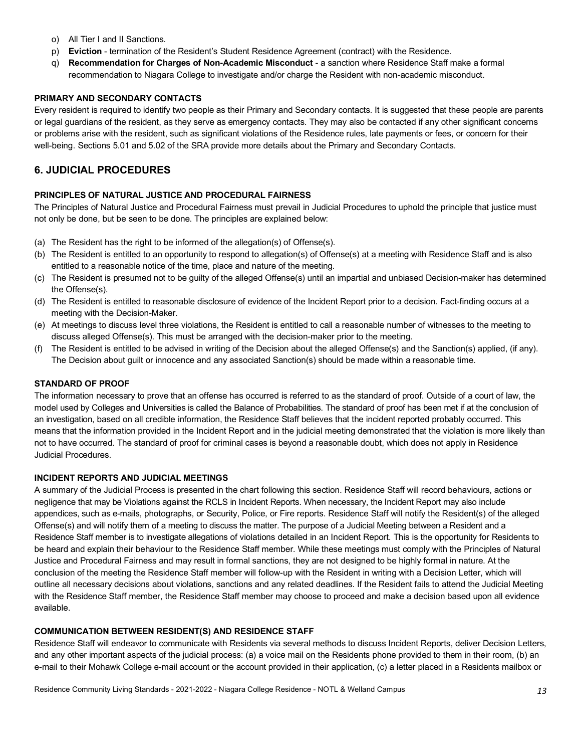- o) All Tier I and II Sanctions.
- p) **Eviction**  termination of the Resident's Student Residence Agreement (contract) with the Residence.
- q) **Recommendation for Charges of Non-Academic Misconduct**  a sanction where Residence Staff make a formal recommendation to Niagara College to investigate and/or charge the Resident with non-academic misconduct.

#### **PRIMARY AND SECONDARY CONTACTS**

 Every resident is required to identify two people as their Primary and Secondary contacts. It is suggested that these people are parents or legal guardians of the resident, as they serve as emergency contacts. They may also be contacted if any other significant concerns or problems arise with the resident, such as significant violations of the Residence rules, late payments or fees, or concern for their well-being. Sections 5.01 and 5.02 of the SRA provide more details about the Primary and Secondary Contacts.

# **6. JUDICIAL PROCEDURES**

## **PRINCIPLES OF NATURAL JUSTICE AND PROCEDURAL FAIRNESS**

 The Principles of Natural Justice and Procedural Fairness must prevail in Judicial Procedures to uphold the principle that justice must not only be done, but be seen to be done. The principles are explained below:

- (a) The Resident has the right to be informed of the allegation(s) of Offense(s).
- (b) The Resident is entitled to an opportunity to respond to allegation(s) of Offense(s) at a meeting with Residence Staff and is also entitled to a reasonable notice of the time, place and nature of the meeting.
- (c) The Resident is presumed not to be guilty of the alleged Offense(s) until an impartial and unbiased Decision-maker has determined the Offense(s).
- (d) The Resident is entitled to reasonable disclosure of evidence of the Incident Report prior to a decision. Fact-finding occurs at a meeting with the Decision-Maker.
- (e) At meetings to discuss level three violations, the Resident is entitled to call a reasonable number of witnesses to the meeting to discuss alleged Offense(s). This must be arranged with the decision-maker prior to the meeting.
- (f) The Resident is entitled to be advised in writing of the Decision about the alleged Offense(s) and the Sanction(s) applied, (if any). The Decision about guilt or innocence and any associated Sanction(s) should be made within a reasonable time.

## **STANDARD OF PROOF**

 The information necessary to prove that an offense has occurred is referred to as the standard of proof. Outside of a court of law, the model used by Colleges and Universities is called the Balance of Probabilities. The standard of proof has been met if at the conclusion of an investigation, based on all credible information, the Residence Staff believes that the incident reported probably occurred. This means that the information provided in the Incident Report and in the judicial meeting demonstrated that the violation is more likely than not to have occurred. The standard of proof for criminal cases is beyond a reasonable doubt, which does not apply in Residence Judicial Procedures.

#### **INCIDENT REPORTS AND JUDICIAL MEETINGS**

 A summary of the Judicial Process is presented in the chart following this section. Residence Staff will record behaviours, actions or negligence that may be Violations against the RCLS in Incident Reports. When necessary, the Incident Report may also include appendices, such as e-mails, photographs, or Security, Police, or Fire reports. Residence Staff will notify the Resident(s) of the alleged Offense(s) and will notify them of a meeting to discuss the matter. The purpose of a Judicial Meeting between a Resident and a Residence Staff member is to investigate allegations of violations detailed in an Incident Report. This is the opportunity for Residents to be heard and explain their behaviour to the Residence Staff member. While these meetings must comply with the Principles of Natural Justice and Procedural Fairness and may result in formal sanctions, they are not designed to be highly formal in nature. At the conclusion of the meeting the Residence Staff member will follow-up with the Resident in writing with a Decision Letter, which will outline all necessary decisions about violations, sanctions and any related deadlines. If the Resident fails to attend the Judicial Meeting with the Residence Staff member, the Residence Staff member may choose to proceed and make a decision based upon all evidence available.

## **COMMUNICATION BETWEEN RESIDENT(S) AND RESIDENCE STAFF**

 Residence Staff will endeavor to communicate with Residents via several methods to discuss Incident Reports, deliver Decision Letters, and any other important aspects of the judicial process: (a) a voice mail on the Residents phone provided to them in their room, (b) an e-mail to their Mohawk College e-mail account or the account provided in their application, (c) a letter placed in a Residents mailbox or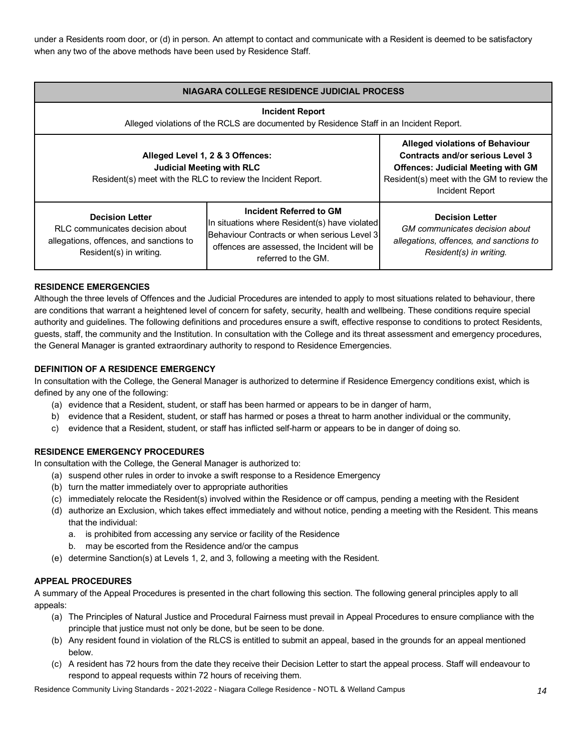under a Residents room door, or (d) in person. An attempt to contact and communicate with a Resident is deemed to be satisfactory when any two of the above methods have been used by Residence Staff.

| NIAGARA COLLEGE RESIDENCE JUDICIAL PROCESS                                                                                           |                                                                                                                                                                                                 |                                                                                                                                |  |  |  |  |
|--------------------------------------------------------------------------------------------------------------------------------------|-------------------------------------------------------------------------------------------------------------------------------------------------------------------------------------------------|--------------------------------------------------------------------------------------------------------------------------------|--|--|--|--|
|                                                                                                                                      | <b>Incident Report</b><br>Alleged violations of the RCLS are documented by Residence Staff in an Incident Report.                                                                               |                                                                                                                                |  |  |  |  |
| Alleged Level 1, 2 & 3 Offences:<br><b>Judicial Meeting with RLC</b><br>Resident(s) meet with the RLC to review the Incident Report. | <b>Alleged violations of Behaviour</b><br><b>Contracts and/or serious Level 3</b><br><b>Offences: Judicial Meeting with GM</b><br>Resident(s) meet with the GM to review the<br>Incident Report |                                                                                                                                |  |  |  |  |
| <b>Decision Letter</b><br>RLC communicates decision about<br>allegations, offences, and sanctions to<br>Resident(s) in writing.      | Incident Referred to GM<br>In situations where Resident(s) have violated<br>Behaviour Contracts or when serious Level 3<br>offences are assessed, the Incident will be<br>referred to the GM.   | <b>Decision Letter</b><br>GM communicates decision about<br>allegations, offences, and sanctions to<br>Resident(s) in writing. |  |  |  |  |

## **RESIDENCE EMERGENCIES**

 Although the three levels of Offences and the Judicial Procedures are intended to apply to most situations related to behaviour, there are conditions that warrant a heightened level of concern for safety, security, health and wellbeing. These conditions require special authority and guidelines. The following definitions and procedures ensure a swift, effective response to conditions to protect Residents, guests, staff, the community and the Institution. In consultation with the College and its threat assessment and emergency procedures, the General Manager is granted extraordinary authority to respond to Residence Emergencies.

## **DEFINITION OF A RESIDENCE EMERGENCY**

 In consultation with the College, the General Manager is authorized to determine if Residence Emergency conditions exist, which is defined by any one of the following:

- (a) evidence that a Resident, student, or staff has been harmed or appears to be in danger of harm,
- b) evidence that a Resident, student, or staff has harmed or poses a threat to harm another individual or the community,
- c) evidence that a Resident, student, or staff has inflicted self-harm or appears to be in danger of doing so.

## **RESIDENCE EMERGENCY PROCEDURES**

In consultation with the College, the General Manager is authorized to:

- (a) suspend other rules in order to invoke a swift response to a Residence Emergency
- (b) turn the matter immediately over to appropriate authorities
- (c) immediately relocate the Resident(s) involved within the Residence or off campus, pending a meeting with the Resident
- (d) authorize an Exclusion, which takes effect immediately and without notice, pending a meeting with the Resident. This means that the individual:
	- a. is prohibited from accessing any service or facility of the Residence
	- b. may be escorted from the Residence and/or the campus
- (e) determine Sanction(s) at Levels 1, 2, and 3, following a meeting with the Resident.

#### **APPEAL PROCEDURES**

 A summary of the Appeal Procedures is presented in the chart following this section. The following general principles apply to all appeals:

- (a) The Principles of Natural Justice and Procedural Fairness must prevail in Appeal Procedures to ensure compliance with the principle that justice must not only be done, but be seen to be done.
- (b) Any resident found in violation of the RLCS is entitled to submit an appeal, based in the grounds for an appeal mentioned below.
- (c) A resident has 72 hours from the date they receive their Decision Letter to start the appeal process. Staff will endeavour to respond to appeal requests within 72 hours of receiving them.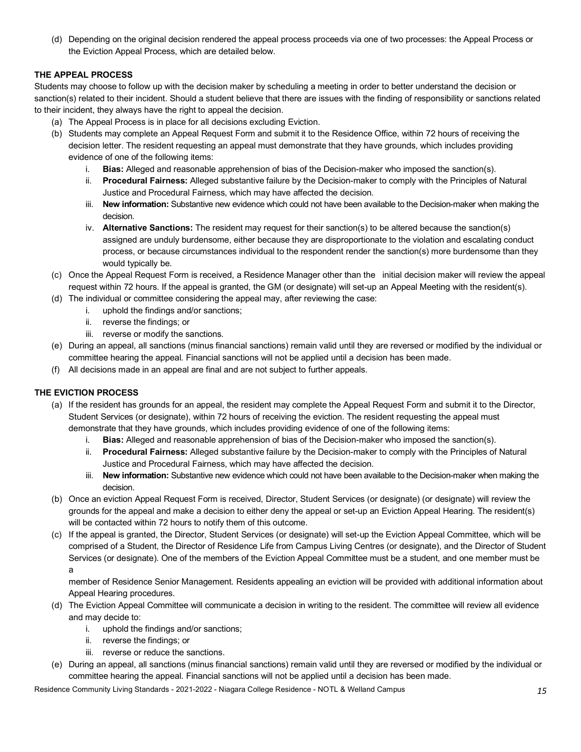(d) Depending on the original decision rendered the appeal process proceeds via one of two processes: the Appeal Process or the Eviction Appeal Process, which are detailed below.

## **THE APPEAL PROCESS**

 Students may choose to follow up with the decision maker by scheduling a meeting in order to better understand the decision or sanction(s) related to their incident. Should a student believe that there are issues with the finding of responsibility or sanctions related to their incident, they always have the right to appeal the decision.

- (a) The Appeal Process is in place for all decisions excluding Eviction.
- (b) Students may complete an Appeal Request Form and submit it to the Residence Office, within 72 hours of receiving the decision letter. The resident requesting an appeal must demonstrate that they have grounds, which includes providing evidence of one of the following items:
	- i. **Bias:** Alleged and reasonable apprehension of bias of the Decision-maker who imposed the sanction(s).
	- ii. **Procedural Fairness:** Alleged substantive failure by the Decision-maker to comply with the Principles of Natural Justice and Procedural Fairness, which may have affected the decision.
	- iii. **New information:** Substantive new evidence which could not have been available to the Decision-maker when making the decision.
	- iv. **Alternative Sanctions:** The resident may request for their sanction(s) to be altered because the sanction(s) assigned are unduly burdensome, either because they are disproportionate to the violation and escalating conduct process, or because circumstances individual to the respondent render the sanction(s) more burdensome than they would typically be.
- (c) Once the Appeal Request Form is received, a Residence Manager other than the initial decision maker will review the appeal request within 72 hours. If the appeal is granted, the GM (or designate) will set-up an Appeal Meeting with the resident(s).
- (d) The individual or committee considering the appeal may, after reviewing the case:
	- i. uphold the findings and/or sanctions;
	- ii. reverse the findings; or
	- iii. reverse or modify the sanctions.
- (e) During an appeal, all sanctions (minus financial sanctions) remain valid until they are reversed or modified by the individual or committee hearing the appeal. Financial sanctions will not be applied until a decision has been made.
- (f) All decisions made in an appeal are final and are not subject to further appeals.

## **THE EVICTION PROCESS**

- (a) If the resident has grounds for an appeal, the resident may complete the Appeal Request Form and submit it to the Director, Student Services (or designate), within 72 hours of receiving the eviction. The resident requesting the appeal must demonstrate that they have grounds, which includes providing evidence of one of the following items:
	- i. **Bias:** Alleged and reasonable apprehension of bias of the Decision-maker who imposed the sanction(s).
	- ii. **Procedural Fairness:** Alleged substantive failure by the Decision-maker to comply with the Principles of Natural Justice and Procedural Fairness, which may have affected the decision.
	- iii. **New information:** Substantive new evidence which could not have been available to the Decision-maker when making the decision.
- (b) Once an eviction Appeal Request Form is received, Director, Student Services (or designate) (or designate) will review the grounds for the appeal and make a decision to either deny the appeal or set-up an Eviction Appeal Hearing. The resident(s) will be contacted within 72 hours to notify them of this outcome.
- (c) If the appeal is granted, the Director, Student Services (or designate) will set-up the Eviction Appeal Committee, which will be comprised of a Student, the Director of Residence Life from Campus Living Centres (or designate), and the Director of Student Services (or designate). One of the members of the Eviction Appeal Committee must be a student, and one member must be a

 member of Residence Senior Management. Residents appealing an eviction will be provided with additional information about Appeal Hearing procedures.

- (d) The Eviction Appeal Committee will communicate a decision in writing to the resident. The committee will review all evidence and may decide to:
	- i. uphold the findings and/or sanctions;
	- ii. reverse the findings; or
	- iii. reverse or reduce the sanctions.
- (e) During an appeal, all sanctions (minus financial sanctions) remain valid until they are reversed or modified by the individual or committee hearing the appeal. Financial sanctions will not be applied until a decision has been made.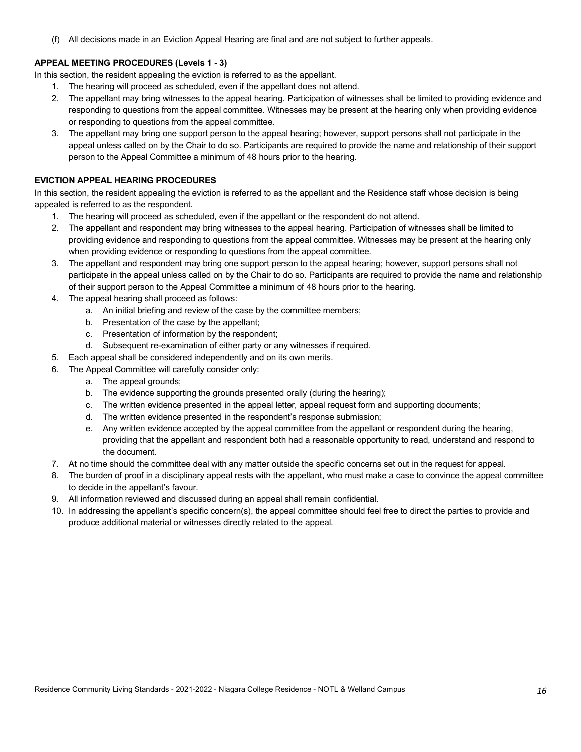(f) All decisions made in an Eviction Appeal Hearing are final and are not subject to further appeals.

## **APPEAL MEETING PROCEDURES (Levels 1 - 3)**

In this section, the resident appealing the eviction is referred to as the appellant.

- 1. The hearing will proceed as scheduled, even if the appellant does not attend.
- 2. The appellant may bring witnesses to the appeal hearing. Participation of witnesses shall be limited to providing evidence and responding to questions from the appeal committee. Witnesses may be present at the hearing only when providing evidence or responding to questions from the appeal committee.
- 3. The appellant may bring one support person to the appeal hearing; however, support persons shall not participate in the appeal unless called on by the Chair to do so. Participants are required to provide the name and relationship of their support person to the Appeal Committee a minimum of 48 hours prior to the hearing.

## **EVICTION APPEAL HEARING PROCEDURES**

 In this section, the resident appealing the eviction is referred to as the appellant and the Residence staff whose decision is being appealed is referred to as the respondent.

- 1. The hearing will proceed as scheduled, even if the appellant or the respondent do not attend.
- 2. The appellant and respondent may bring witnesses to the appeal hearing. Participation of witnesses shall be limited to providing evidence and responding to questions from the appeal committee. Witnesses may be present at the hearing only when providing evidence or responding to questions from the appeal committee.
- 3. The appellant and respondent may bring one support person to the appeal hearing; however, support persons shall not participate in the appeal unless called on by the Chair to do so. Participants are required to provide the name and relationship of their support person to the Appeal Committee a minimum of 48 hours prior to the hearing.
- 4. The appeal hearing shall proceed as follows:
	- a. An initial briefing and review of the case by the committee members;
	- b. Presentation of the case by the appellant;
	- c. Presentation of information by the respondent;
	- d. Subsequent re-examination of either party or any witnesses if required.
- 5. Each appeal shall be considered independently and on its own merits.
- 6. The Appeal Committee will carefully consider only:
	- a. The appeal grounds;
	- b. The evidence supporting the grounds presented orally (during the hearing);
	- c. The written evidence presented in the appeal letter, appeal request form and supporting documents;
	- d. The written evidence presented in the respondent's response submission;
	- e. Any written evidence accepted by the appeal committee from the appellant or respondent during the hearing, providing that the appellant and respondent both had a reasonable opportunity to read, understand and respond to the document.
- 7. At no time should the committee deal with any matter outside the specific concerns set out in the request for appeal.
- 8. The burden of proof in a disciplinary appeal rests with the appellant, who must make a case to convince the appeal committee to decide in the appellant's favour.
- 9. All information reviewed and discussed during an appeal shall remain confidential.
- 10. In addressing the appellant's specific concern(s), the appeal committee should feel free to direct the parties to provide and produce additional material or witnesses directly related to the appeal.